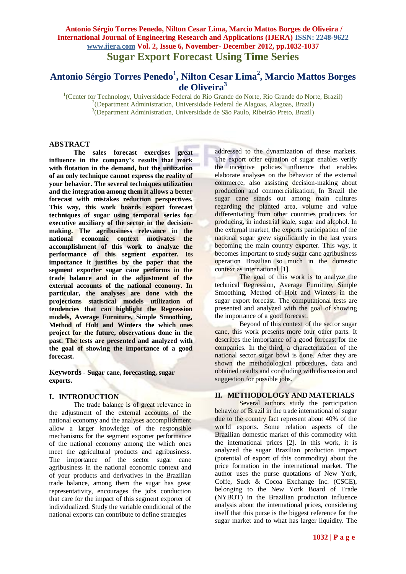# **Antonio Sérgio Torres Penedo<sup>1</sup> , Nilton Cesar Lima<sup>2</sup> , Marcio Mattos Borges de Oliveira<sup>3</sup>**

<sup>1</sup>(Center for Technology, Universidade Federal do Rio Grande do Norte, Rio Grande do Norte, Brazil) <sup>2</sup>(Department Administration, Universidade Federal de Alagoas, Alagoas, Brazil) 3 (Department Administration, Universidade de São Paulo, Ribeirão Preto, Brazil)

# **ABSTRACT**

**The sales forecast exercises great influence in the company's results that work with flotation in the demand, but the utilization of an only technique cannot express the reality of your behavior. The several techniques utilization and the integration among them it allows a better forecast with mistakes reduction perspectives. This way, this work boards export forecast techniques of sugar using temporal series for executive auxiliary of the sector in the decisionmaking. The agribusiness relevance in the national economic context motivates the accomplishment of this work to analyze the performance of this segment exporter***.* **Its importance it justifies by the paper that the segment exporter sugar cane performs in the trade balance and in the adjustment of the external accounts of the national economy. In particular, the analyses are done with the projections statistical models utilization of tendencies that can highlight the Regression models, Average Furniture, Simple Smoothing, Method of Holt and Winters the which ones project for the future, observations done in the past. The tests are presented and analyzed with the goal of showing the importance of a good forecast.**

**Keywords - Sugar cane, forecasting, sugar exports.**

# **I. INTRODUCTION**

The trade balance is of great relevance in the adjustment of the external accounts of the national economy and the analyses accomplishment allow a larger knowledge of the responsible mechanisms for the segment exporter performance of the national economy among the which ones meet the agricultural products and agribusiness. The importance of the sector sugar cane agribusiness in the national economic context and of your products and derivatives in the Brazilian trade balance, among them the sugar has great representativity, encourages the jobs conduction that care for the impact of this segment exporter of individualized. Study the variable conditional of the national exports can contribute to define strategies

addressed to the dynamization of these markets. The export offer equation of sugar enables verify the incentive policies influence that enables elaborate analyses on the behavior of the external commerce, also assisting decision-making about production and commercialization. In Brazil the sugar cane stands out among main cultures regarding the planted area, volume and value differentiating from other countries producers for producing, in industrial scale, sugar and alcohol. In the external market, the exports participation of the national sugar grew significantly in the last years becoming the main country exporter. This way, it becomes important to study sugar cane agribusiness operation Brazilian so much in the domestic context as international [1].

The goal of this work is to analyze the technical Regression, Average Furniture, Simple Smoothing, Method of Holt and Winters in the sugar export forecast. The computational tests are presented and analyzed with the goal of showing the importance of a good forecast.

Beyond of this context of the sector sugar cane, this work presents more four other parts. It describes the importance of a good forecast for the companies. In the third, a characterization of the national sector sugar bowl is done. After they are shown the methodological procedures, data and obtained results and concluding with discussion and suggestion for possible jobs.

# **II. METHODOLOGY AND MATERIALS**

Several authors study the participation behavior of Brazil in the trade international of sugar due to the country fact represent about 40% of the world exports. Some relation aspects of the Brazilian domestic market of this commodity with the international prices [2]. In this work, it is analyzed the sugar Brazilian production impact (potential of export of this commodity) about the price formation in the international market. The author uses the purse quotations of New York, Coffe, Suck & Cocoa Exchange Inc. (CSCE), belonging to the New York Board of Trade (NYBOT) in the Brazilian production influence analysis about the international prices, considering itself that this purse is the biggest reference for the sugar market and to what has larger liquidity. The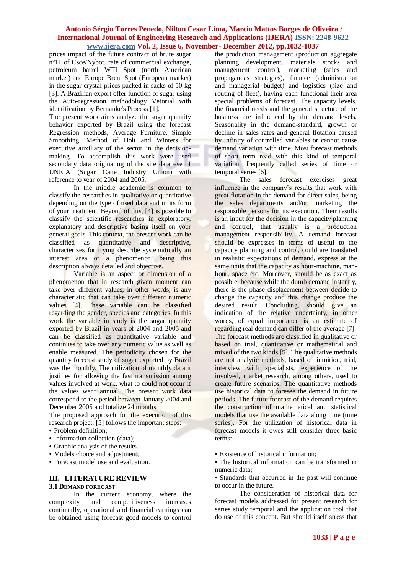prices impact of the future contract of brute sugar nº11 of Csce/Nybot, rate of commercial exchange, petroleum barrel WTI Spot (north American market) and Europe Brent Spot (European market) in the sugar crystal prices packed in sacks of 50 kg [3]. A Brazilian export offer function of sugar using the Auto-regression methodology Vetorial with identification by Bernanke's Process [1].

The present work aims analyze the sugar quantity behavior exported by Brazil using the forecast Regression methods, Average Furniture, Simple Smoothing, Method of Holt and Winters for executive auxiliary of the sector in the decisionmaking. To accomplish this work were used secondary data originating of the site database of UNICA (Sugar Cane Industry Union) with reference to year of 2004 and 2005.

In the middle academic is common to classify the researches in qualitative or quantitative depending on the type of used data and in its form of your treatment. Beyond of this, [4] is possible to classify the scientific researches in exploratory, explanatory and descriptive basing itself on your general goals. This context, the present work can be classified as quantitative and descriptive, characterizes for trying describe systematically an interest area or a phenomenon, being this description always detailed and objective.

Variable is an aspect or dimension of a phenomenon that in research given moment can take over different values, in other words, is any characteristic that can take over different numeric values [4]. These variable can be classified regarding the gender, species and categories. In this work the variable in study is the sugar quantity exported by Brazil in years of 2004 and 2005 and can be classified as quantitative variable and continues to take over any numeric value as well as enable measured. The periodicity chosen for the quantity forecast study of sugar exported by Brazil was the monthly. The utilization of monthly data it justifies for allowing the fast transmission among values involved at work, what to could not occur if the values went annual. The present work data correspond to the period between January 2004 and December 2005 and totalize 24 months.

The proposed approach for the execution of this research project, [5] follows the important steps:

- Problem definition;
- Information collection (data):
- Graphic analysis of the results.
- Models choice and adjustment;
- Forecast model use and evaluation.

# **III. LITERATURE REVIEW 3.1 DEMAND FORECAST**

In the current economy, where the complexity and competitiveness increases continually, operational and financial earnings can be obtained using forecast good models to control

the production management (production aggregate planning development, materials stocks and management control), marketing (sales and propagandas strategies), finance (administration and managerial budget) and logistics (size and routing of fleet), having each functional their area special problems of forecast. The capacity levels, the financial needs and the general structure of the business are influenced by the demand levels. Seasonality in the demand-standard, growth or decline in sales rates and general flotation caused by infinity of controlled variables or cannot cause demand variation with time. Most forecast methods of short term read with this kind of temporal variation, frequently called series of time or temporal series [6].

The sales forecast exercises great influence in the company's results that work with great flotation in the demand for direct sales, being the sales departments and/or marketing the responsible persons for its execution. Their results is an input for the decision in the capacity planning and control, that usually is a production management responsibility. A demand forecast should be expresses in terms of useful to the capacity planning and control, could are translated in realistic expectations of demand, express at the same units that the capacity as hour-machine, manhour, space etc. Moreover, should be as exact as possible, because while the dumb demand instantly, there is the phase displacement between decide to change the capacity and this change produce the desired result. Concluding, should give an indication of the relative uncertainty, in other words, of equal importance is an estimate of regarding real demand can differ of the average [7]. The forecast methods are classified in qualitative or based on trial, quantitative or mathematical and mixed of the two kinds [5]. The qualitative methods are not analytic methods, based on intuition, trial, interview with specialists, experience of the involved, market research, among others, used to create future scenarios. The quantitative methods use historical data to foresee the demand in future periods. The future forecast of the demand requires the construction of mathematical and statistical models that use the available data along time (time series). For the utilization of historical data in forecast models it owes still consider three basic terms:

- Existence of historical information;
- The historical information can be transformed in numeric data;
- Standards that occurred in the past will continue to occur in the future.

The consideration of historical data for forecast models addressed for present research for series study temporal and the application tool that do use of this concept. But should itself stress that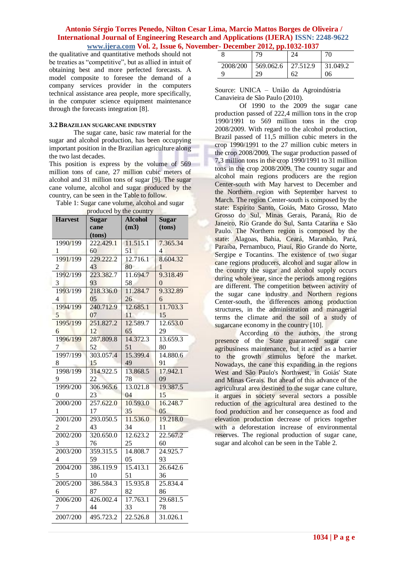the qualitative and quantitative methods should not be treaties as "competitive", but as allied in intuit of obtaining best and more perfected forecasts. A model composite to foresee the demand of a company services provider in the computers technical assistance area people, more specifically, in the computer science equipment maintenance through the forecasts integration [8].

#### **3.2 BRAZILIAN SUGARCANE INDUSTRY**

The sugar cane, basic raw material for the sugar and alcohol production, has been occupying important position in the Brazilian agriculture along the two last decades.

This position is express by the volume of 569 million tons of cane, 27 million cubic meters of alcohol and 31 million tons of sugar [9]. The sugar cane volume, alcohol and sugar produced by the country, can be seen in the Table to follow.

Table 1: Sugar cane volume, alcohol and sugar produced by the country

| <b>Harvest</b>           | <b>Sugar</b>        | <b>Alcohol</b> | <b>Sugar</b>   |
|--------------------------|---------------------|----------------|----------------|
|                          | cane                | (m3)           | (tons)         |
|                          | (tons)<br>222.429.1 |                |                |
| 1990/199                 |                     | 11.515.1       | 7.365.34       |
| 1                        | 60                  | 51<br>12.716.1 | 4              |
| 1991/199                 | 229.222.2           |                | 8.604.32       |
| $\overline{c}$           | 43                  | 80             | 1              |
| 1992/199                 | 223.382.7           | 11.694.7       | 9.318.49       |
| 3                        | 93                  | 58             | $\overline{0}$ |
| 1993/199                 | 218.336.0           | 11.284.7       | 9.332.89       |
| $\overline{\mathcal{L}}$ | 05                  | 26             | 6              |
| 1994/199                 | 240.712.9           | 12.685.1       | 11.703.3       |
| 5                        | 07                  | 11             | 15             |
| 1995/199                 | 251.827.2           | 12.589.7       | 12.653.0       |
| 6                        | 12                  | 65             | 29             |
| 1996/199                 | 287.809.8           | 14.372.3       | 13.659.3       |
| 7                        | 52                  | 51             | 80             |
| 1997/199                 | 303.057.4           | 15.399.4       | 14.880.6       |
| 8                        | 15                  | 49             | 91             |
| 1998/199                 | 314.922.5           | 13.868.5       | 17.942.1       |
| 9                        | 22                  | 78             | 09             |
| 1999/200                 | 306.965.6           | 13.021.8       | 19.387.5       |
| 0                        | 23                  | 04             | 15             |
| 2000/200                 | 257.622.0           | 10.593.0       | 16.248.7       |
| 1                        | 17                  | 35             | 05             |
| 2001/200                 | 293.050.5           | 11.536.0       | 19.218.0       |
|                          | 43                  | 34             | 11             |
| 2002/200                 | 320.650.0           | 12.623.2       | 22.567.2       |
| 3                        | 76                  | 25             | 60             |
| 2003/200                 | 359.315.5           | 14.808.7       | 24.925.7       |
| 4                        | 59                  | 05             | 93             |
| 2004/200                 | 386.119.9           | 15.413.1       | 26.642.6       |
| 5                        | 10                  | 51             | 36             |
| 2005/200                 | 386.584.3           | 15.935.8       | 25.834.4       |
| 6                        | 87                  | 82             | 86             |
| 2006/200                 | 426.002.4           | 17.763.1       | 29.681.5       |
| 7                        | 44                  | 33             | 78             |
| 2007/200                 | 495.723.2           | 22.526.8       | 31.026.1       |

|          | 79                                 | 24 | 70       |
|----------|------------------------------------|----|----------|
| 2008/200 | $\vert$ 569.062.6 $\vert$ 27.512.9 |    | 31.049.2 |
|          | 29                                 | 62 | 06       |

|                                 |  |  |  | Source: UNICA - União da Agroindústria |  |  |
|---------------------------------|--|--|--|----------------------------------------|--|--|
| Canavieira de São Paulo (2010). |  |  |  |                                        |  |  |

Of 1990 to the 2009 the sugar cane production passed of 222,4 million tons in the crop 1990/1991 to 569 million tons in the crop 2008/2009. With regard to the alcohol production, Brazil passed of 11,5 million cubic meters in the crop 1990/1991 to the 27 million cubic meters in the crop 2008/2009. The sugar production passed of 7,3 million tons in the crop 1990/1991 to 31 million tons in the crop 2008/2009. The country sugar and alcohol main regions producers are the region Center-south with May harvest to December and the Northern region with September harvest to March. The region Center-south is composed by the state: Espírito Santo, Goiás, Mato Grosso, Mato Grosso do Sul, Minas Gerais, Paraná, Rio de Janeiro, Rio Grande do Sul, Santa Catarina e São Paulo. The Northern region is composed by the state: Alagoas, Bahia, Ceará, Maranhão, Pará, Paraíba, Pernambuco, Piauí, Rio Grande do Norte, Sergipe e Tocantins. The existence of two sugar cane regions producers, alcohol and sugar allow in the country the sugar and alcohol supply occurs during whole year, since the periods among regions are different. The competition between activity of the sugar cane industry and Northern regions Center-south, the differences among production structures, in the administration and managerial terms the climate and the soil of a study of sugarcane economy in the country [10].

According to the authors, the strong presence of the State guaranteed sugar cane agribusiness maintenance, but it acted as a barrier to the growth stimulus before the market. Nowadays, the cane this expanding in the regions West and São Paulo's Northwest, in Goiás' State and Minas Gerais. But ahead of this advance of the agricultural area destined to the sugar cane culture, it argues in society several sectors a possible reduction of the agricultural area destined to the food production and her consequence as food and elevation production decrease of prices together with a deforestation increase of environmental reserves. The regional production of sugar cane, sugar and alcohol can be seen in the Table 2.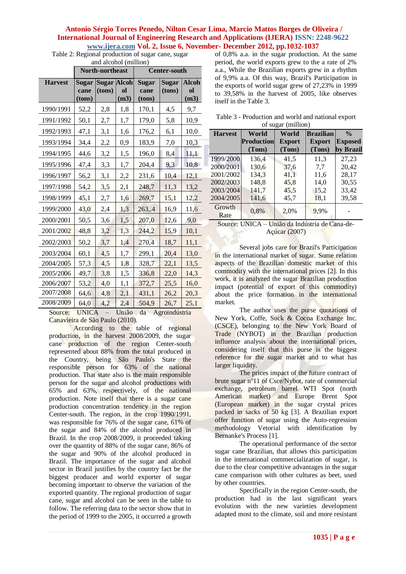Table 2: Regional production of sugar cane, sugar and alcohol (million)

| ана агсоног (пшпон <i>)</i><br>North-northeast |                         |                              |                           | <b>Center-south</b>            |                        |                            |
|------------------------------------------------|-------------------------|------------------------------|---------------------------|--------------------------------|------------------------|----------------------------|
| <b>Harvest</b>                                 | Sugar<br>cane<br>(tons) | <b>Sugar Alcoh</b><br>(tons) | ol<br>(m3)                | <b>Sugar</b><br>cane<br>(tons) | <b>Sugar</b><br>(tons) | <b>Alcoh</b><br>ol<br>(m3) |
| 1990/1991                                      | 52,2                    | 2,8                          | 1,8                       | 170,1                          | 4,5                    | 9,7                        |
| 1991/1992                                      | 50,1                    | 2,7                          | 1,7                       | 179,0                          | 5,8                    | 10,9                       |
| 1992/1993                                      | 47,1                    | 3,1                          | 1,6                       | 176,2                          | 6,1                    | 10,0                       |
| 1993/1994                                      | 34,4                    | 2,2                          | 0,9                       | 183,9                          | 7,0                    | 10,3                       |
| 1994/1995                                      | 44,6                    | 3,2                          | 1,5                       | 196,0                          | 8,4                    | 11,1                       |
| 1995/1996                                      | 47,4                    | 3,3                          | 1,7                       | 204,4                          | 9,3                    | 10,8                       |
| 1996/1997                                      | 56,2                    | 3,1                          | 2,2                       | 231,6                          | 10,4                   | 12,1                       |
| 1997/1998                                      | 54,2                    | 3,5                          | 2,1                       | 248,7                          | 11,3                   | 13,2                       |
| 1998/1999                                      | 45,1                    | 2,7                          | 1,6                       | 269,7                          | 15,1                   | 12,2                       |
| 1999/2000                                      | 43,0                    | 2,4                          | 1,3                       | 263,.4                         | 16,9                   | 11,6                       |
| 2000/2001                                      | 50,5                    | 3,6                          | 1,5                       | 207,0                          | 12,6                   | 9,0                        |
| 2001/2002                                      | 48,8                    | 3,2                          | 1,3                       | 244,2                          | 15,9                   | 10,1                       |
| 2002/2003                                      | 50,2                    | 3,7                          | 1,4                       | 270,4                          | 18,7                   | 11,1                       |
| 2003/2004                                      | 60,1                    | 4,5                          | 1,7                       | 299,1                          | 20,4                   | 13,0                       |
| 2004/2005                                      | 57,3                    | 4,5                          | 1,8                       | 328,7                          | 22,1                   | 13,5                       |
| 2005/2006                                      | 49,7                    | 3,8                          | 1,5                       | 336,8                          | 22,0                   | 14,3                       |
| 2006/2007                                      | 53,2                    | 4,0                          | 1,1                       | 372,7                          | 25,5                   | 16,0                       |
| 2007/2008                                      | 64,6                    | 4,8                          | 2,1                       | 431,1                          | 26,2                   | 20,3                       |
| 2008/2009<br>$\sim$                            | 64,0<br><b>TIMITO A</b> | 4,2                          | 2,4<br>$TT_{11}$ : $\sim$ | 504,9<br>$1 -$<br>$\lambda$    | 26,7<br>1.141          | 25,1                       |

Source: UNICA – União da Agroindústria Canavieira de São Paulo (2010).

According to the table of regional production, in the harvest 2008/2009, the sugar cane production of the region Center-south represented about 88% from the total produced in the Country, being São Paulo's State the responsible person for 63% of the national production. That state also is the main responsible person for the sugar and alcohol productions with 65% and 63%, respectively, of the national production. Note itself that there is a sugar cane production concentration tendency in the region Center-south. The region, in the crop 1990/1991, was responsible for 76% of the sugar cane, 61% of the sugar and 84% of the alcohol produced in Brazil. In the crop 2008/2009, it proceeded taking over the quantity of 88% of the sugar cane, 86% of the sugar and 90% of the alcohol produced in Brazil. The importance of the sugar and alcohol sector in Brazil justifies by the country fact be the biggest producer and world exporter of sugar becoming important to observe the variation of the exported quantity. The regional production of sugar cane, sugar and alcohol can be seen in the table to follow. The referring data to the sector show that in the period of 1999 to the 2005, it occurred a growth

of 0,8% a.a. in the sugar production. At the same period, the world exports grew to the a rate of 2% a.a., While the Brazilian exports grew in a rhythm of 9,9% a.a. Of this way, Brazil's Participation in the exports of world sugar grew of 27,23% in 1999 to 39,58% in the harvest of 2005, like observes itself in the Table 3.

| Table 3 - Production and world and national export |  |  |  |  |  |  |
|----------------------------------------------------|--|--|--|--|--|--|
| of sugar (million)                                 |  |  |  |  |  |  |

| <b>Harvest</b> | World             | World         | <b>Brazilian</b> | $\frac{0}{0}$  |
|----------------|-------------------|---------------|------------------|----------------|
|                | <b>Production</b> | <b>Export</b> | <b>Export</b>    | <b>Exposed</b> |
|                | (Tons)            | (Tons)        | (Tons)           | by Brazil      |
| 1999/2000      | 136,4             | 41,5          | 11,3             | 27,23          |
| 2000/2001      | 130,6             | 37,6          | 7,7              | 20,42          |
| 2001/2002      | 134,3             | 41,1          | 11,6             | 28,17          |
| 2002/2003      | 148,8             | 45,8          | 14,0             | 30,55          |
| 2003/2004      | 141,7             | 45,5          | 15,2             | 33,42          |
| 2004/2005      | 141,6             | 45,7          | 18,1             | 39,58          |
| Growth<br>Rate | 0,8%              | 2,0%          | 9,9%             |                |

#### Source: UNICA – União da Indústria de Cana-de-Açúcar (2007)

Several jobs care for Brazil's Participation in the international market of sugar. Some relation aspects of the Brazilian domestic market of this commodity with the international prices [2]. In this work, it is analyzed the sugar Brazilian production impact (potential of export of this commodity) about the price formation in the international market.

The author uses the purse quotations of New York, Coffe, Suck & Cocoa Exchange Inc. (CSCE), belonging to the New York Board of Trade (NYBOT) in the Brazilian production influence analysis about the international prices, considering itself that this purse is the biggest reference for the sugar market and to what has larger liquidity.

The prices impact of the future contract of brute sugar nº11 of Csce/Nybot, rate of commercial exchange, petroleum barrel WTI Spot (north American market) and Europe Brent Spot (European market) in the sugar crystal prices packed in sacks of 50 kg [3]. A Brazilian export offer function of sugar using the Auto-regression methodology Vetorial with identification by Bernanke's Process [1].

The operational performance of the sector sugar cane Brazilian, that allows this participation in the international commercialization of sugar, is due to the clear competitive advantages in the sugar cane comparison with other cultures as beet, used by other countries.

Specifically in the region Center-south, the production had in the last significant years evolution with the new varieties development adapted most to the climate, soil and more resistant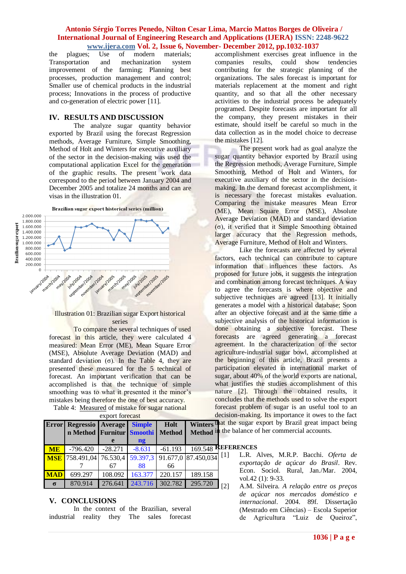# **Antonio Sérgio Torres Penedo, Nilton Cesar Lima, Marcio Mattos Borges de Oliveira / International Journal of Engineering Research and Applications (IJERA) ISSN: 2248-9622 www.ijera.com Vol. 2, Issue 6, November- December 2012, pp.1032-1037**<br>plagues: Use of modern materials: accomplishment exercises great infl

the plagues; Use of modern materials; Transportation and mechanization system improvement of the farming; Planning best processes, production management and control; Smaller use of chemical products in the industrial process; Innovations in the process of productive and co-generation of electric power [11].

# **IV. RESULTS AND DISCUSSION**

The analyze sugar quantity behavior exported by Brazil using the forecast Regression methods, Average Furniture, Simple Smoothing, Method of Holt and Winters for executive auxiliary of the sector in the decision-making was used the computational application Excel for the generation of the graphic results. The present work data correspond to the period between January 2004 and December 2005 and totalize 24 months and can are visas in the illustration 01.

Brazilian sugar export historical series (million)



# Illustration 01: Brazilian sugar Export historical series

To compare the several techniques of used forecast in this article, they were calculated 4 measured: Mean Error (ME), Mean Square Error (MSE), Absolute Average Deviation (MAD) and standard deviation  $(\sigma)$ . In the Table 4, they are presented these measured for the 5 technical of forecast. An important verification that can be accomplished is that the technique of simple smoothing was to what it presented it the minor's mistakes being therefore the one of best accuracy. Table 4: Measured of mistake for sugar national

| export forecast<br>decis |                                                                    |           |                                |           |                               |     |
|--------------------------|--------------------------------------------------------------------|-----------|--------------------------------|-----------|-------------------------------|-----|
|                          | <b>Error Regressio Average</b><br>n Method Furnitur Smoothi Method |           | <b>Simple</b><br>$\mathbf{ng}$ | Holt      | Winters that<br>Method in the |     |
|                          |                                                                    |           |                                |           | $169.548$ REF                 |     |
| <b>ME</b>                | $-796.420$                                                         | $-28.271$ | $-8.631$                       | $-61.193$ |                               |     |
|                          | $MSE$ 758.491,04 76.530,4                                          |           |                                |           | 59.397,3 91.677,0 87.450,034  | [1] |
|                          |                                                                    | 67        | 88                             | 66        |                               |     |
| <b>MAD</b>               | 699.297                                                            | 108.092   | 163.377                        | 220.157   | 189.158                       |     |

**σ** 870.914 276.641 243.716 302.782 295.720

# export forecast

# **V. CONCLUSIONS**

In the context of the Brazilian, several industrial reality they The sales forecast

accomplishment exercises great influence in the companies results, could show tendencies contributing for the strategic planning of the organizations. The sales forecast is important for materials replacement at the moment and right quantity, and so that all the other necessary activities to the industrial process be adequately programed. Despite forecasts are important for all the company, they present mistakes in their estimate, should itself be careful so much in the data collection as in the model choice to decrease the mistakes [12].

The present work had as goal analyze the sugar quantity behavior exported by Brazil using the Regression methods, Average Furniture, Simple Smoothing, Method of Holt and Winters, for executive auxiliary of the sector in the decisionmaking. In the demand forecast accomplishment, it is necessary the forecast mistakes evaluation. Comparing the mistake measures Mean Error (ME), Mean Square Error (MSE), Absolute Average Deviation (MAD) and standard deviation (σ), it verified that it Simple Smoothing obtained larger accuracy that the Regression methods, Average Furniture, Method of Holt and Winters.

Like the forecasts are affected by several factors, each technical can contribute to capture information that influences these factors. As proposed for future jobs, it suggests the integration and combination among forecast techniques. A way to agree the forecasts is where objective and subjective techniques are agreed [13]. It initially generates a model with a historical database; Soon after an objective forecast and at the same time a subjective analysis of the historical information is done obtaining a subjective forecast. These forecasts are agreed generating a forecast agreement. In the characterization of the sector agriculture-industrial sugar bowl, accomplished at the beginning of this article, Brazil presents a participation elevated in international market of sugar, about 40% of the world exports are national, what justifies the studies accomplishment of this nature [2]. Through the obtained results, it concludes that the methods used to solve the export forecast problem of sugar is an useful tool to an sion-making. Its importance it owes to the fact

the sugar export by Brazil great impact being ie balance of her commercial accounts.

#### **REFERENCES**

- [1] L.R. Alves, M.R.P. Bacchi. *Oferta de exportação de açúcar do Brasil*. Rev. Econ. Sociol. Rural, Jan./Mar. 2004, vol.42 (1): 9-33.
- [2] A.M. Silveira. *A relação entre os preços de açúcar nos mercados doméstico e internacional*. 2004. 89f. Dissertação (Mestrado em Ciências) – Escola Superior de Agricultura "Luiz de Queiroz",

#### **1036 | P a g e**